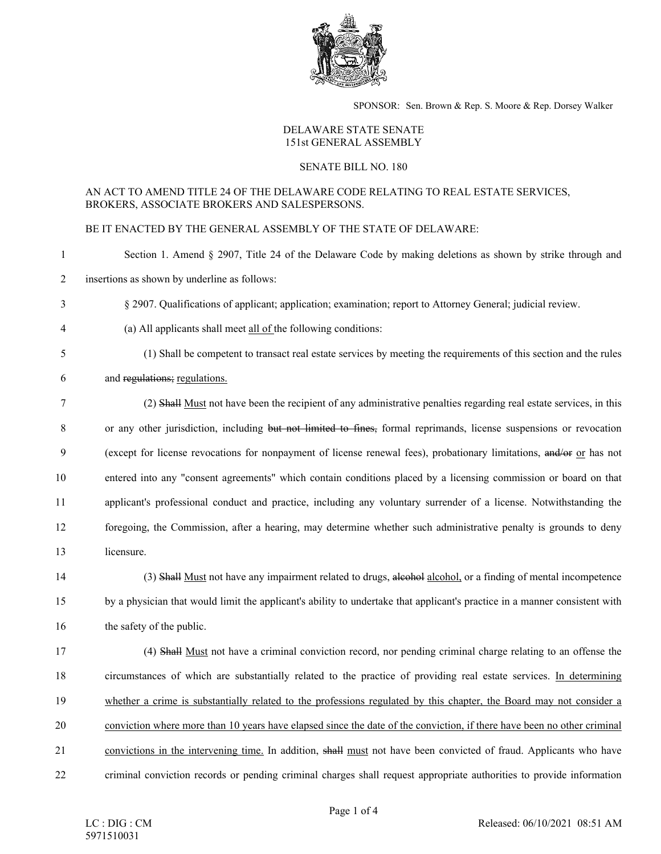

SPONSOR: Sen. Brown & Rep. S. Moore & Rep. Dorsey Walker

## DELAWARE STATE SENATE 151st GENERAL ASSEMBLY

## SENATE BILL NO. 180

## AN ACT TO AMEND TITLE 24 OF THE DELAWARE CODE RELATING TO REAL ESTATE SERVICES, BROKERS, ASSOCIATE BROKERS AND SALESPERSONS.

BE IT ENACTED BY THE GENERAL ASSEMBLY OF THE STATE OF DELAWARE:

1 Section 1. Amend § 2907, Title 24 of the Delaware Code by making deletions as shown by strike through and

2 insertions as shown by underline as follows:

- 3 § 2907. Qualifications of applicant; application; examination; report to Attorney General; judicial review.
- 4 (a) All applicants shall meet all of the following conditions:
- 

5 (1) Shall be competent to transact real estate services by meeting the requirements of this section and the rules

6 and regulations; regulations.

7 (2) Shall Must not have been the recipient of any administrative penalties regarding real estate services, in this 8 or any other jurisdiction, including but not limited to fines, formal reprimands, license suspensions or revocation 9 (except for license revocations for nonpayment of license renewal fees), probationary limitations, and/or or has not 10 entered into any "consent agreements" which contain conditions placed by a licensing commission or board on that 11 applicant's professional conduct and practice, including any voluntary surrender of a license. Notwithstanding the 12 foregoing, the Commission, after a hearing, may determine whether such administrative penalty is grounds to deny 13 licensure.

14 (3) Shall Must not have any impairment related to drugs, alcohol, or a finding of mental incompetence 15 by a physician that would limit the applicant's ability to undertake that applicant's practice in a manner consistent with 16 the safety of the public.

17 (4) Shall Must not have a criminal conviction record, nor pending criminal charge relating to an offense the 18 circumstances of which are substantially related to the practice of providing real estate services. In determining 19 whether a crime is substantially related to the professions regulated by this chapter, the Board may not consider a 20 conviction where more than 10 years have elapsed since the date of the conviction, if there have been no other criminal 21 convictions in the intervening time. In addition, shall must not have been convicted of fraud. Applicants who have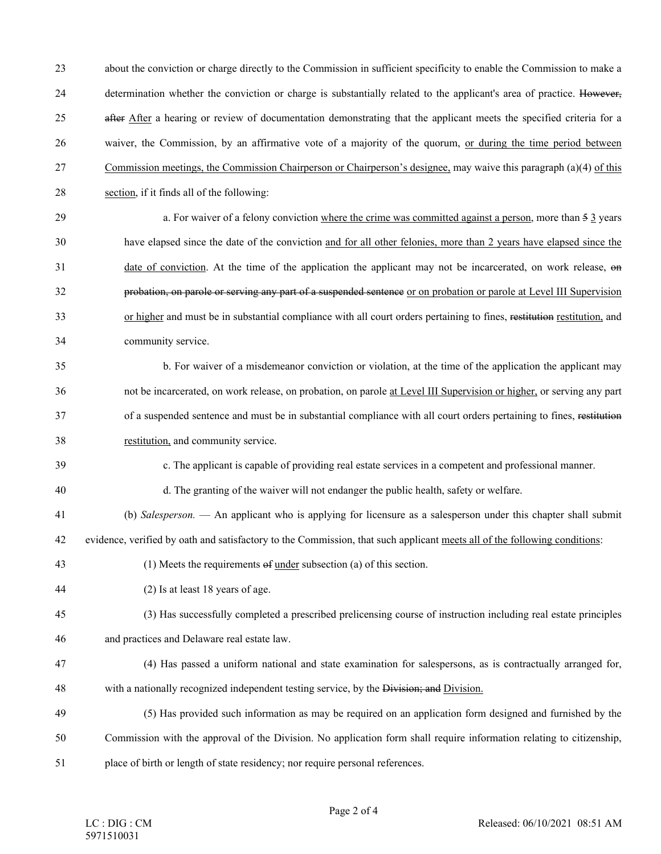23 about the conviction or charge directly to the Commission in sufficient specificity to enable the Commission to make a 24 determination whether the conviction or charge is substantially related to the applicant's area of practice. However, 25 after After a hearing or review of documentation demonstrating that the applicant meets the specified criteria for a 26 waiver, the Commission, by an affirmative vote of a majority of the quorum, or during the time period between 27 Commission meetings, the Commission Chairperson or Chairperson's designee, may waive this paragraph (a)(4) of this 28 section, if it finds all of the following:

29 a. For waiver of a felony conviction where the crime was committed against a person, more than 5 3 years 30 have elapsed since the date of the conviction and for all other felonies, more than 2 years have elapsed since the 31 date of conviction. At the time of the application the applicant may not be incarcerated, on work release, on 32 probation, on parole or serving any part of a suspended sentence or on probation or parole at Level III Supervision 33 or higher and must be in substantial compliance with all court orders pertaining to fines, restitution restitution, and 34 community service.

35 b. For waiver of a misdemeanor conviction or violation, at the time of the application the applicant may 36 not be incarcerated, on work release, on probation, on parole at Level III Supervision or higher, or serving any part 37 of a suspended sentence and must be in substantial compliance with all court orders pertaining to fines, restitution 38 restitution, and community service.

- 39 c. The applicant is capable of providing real estate services in a competent and professional manner.
- 40 d. The granting of the waiver will not endanger the public health, safety or welfare.
- 41 (b) *Salesperson.*  An applicant who is applying for licensure as a salesperson under this chapter shall submit
- 42 evidence, verified by oath and satisfactory to the Commission, that such applicant meets all of the following conditions:
- 43 (1) Meets the requirements of under subsection (a) of this section.
- 44 (2) Is at least 18 years of age.
- 45 (3) Has successfully completed a prescribed prelicensing course of instruction including real estate principles
- 46 and practices and Delaware real estate law.
- 47 (4) Has passed a uniform national and state examination for salespersons, as is contractually arranged for, 48 with a nationally recognized independent testing service, by the Division; and Division.
- 49 (5) Has provided such information as may be required on an application form designed and furnished by the 50 Commission with the approval of the Division. No application form shall require information relating to citizenship, 51 place of birth or length of state residency; nor require personal references.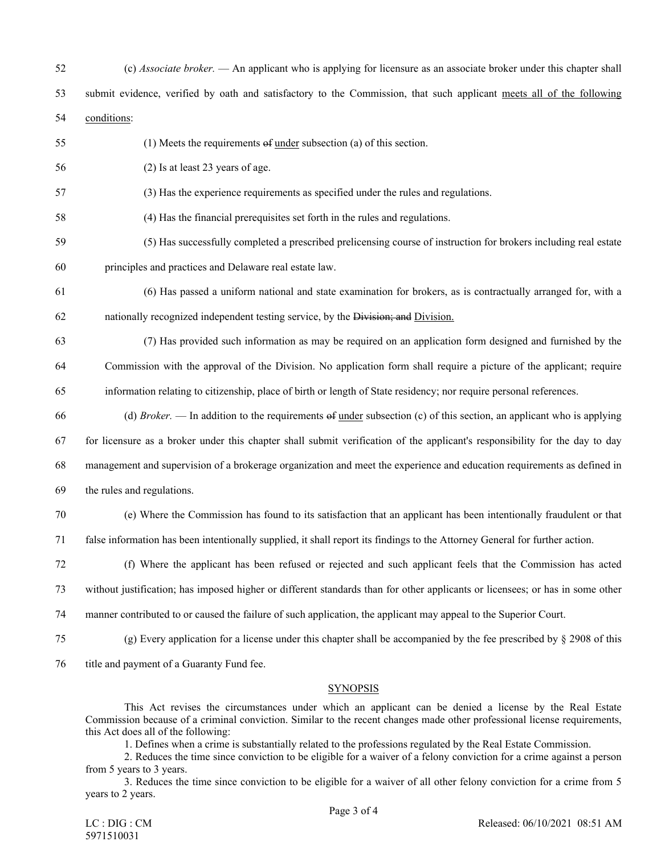| 52 | (c) Associate broker. $-$ An applicant who is applying for licensure as an associate broker under this chapter shall               |
|----|------------------------------------------------------------------------------------------------------------------------------------|
| 53 | submit evidence, verified by oath and satisfactory to the Commission, that such applicant meets all of the following               |
| 54 | conditions:                                                                                                                        |
| 55 | $(1)$ Meets the requirements of <u>under</u> subsection (a) of this section.                                                       |
| 56 | (2) Is at least 23 years of age.                                                                                                   |
| 57 | (3) Has the experience requirements as specified under the rules and regulations.                                                  |
| 58 | (4) Has the financial prerequisites set forth in the rules and regulations.                                                        |
| 59 | (5) Has successfully completed a prescribed prelicensing course of instruction for brokers including real estate                   |
| 60 | principles and practices and Delaware real estate law.                                                                             |
| 61 | (6) Has passed a uniform national and state examination for brokers, as is contractually arranged for, with a                      |
| 62 | nationally recognized independent testing service, by the Division; and Division.                                                  |
| 63 | (7) Has provided such information as may be required on an application form designed and furnished by the                          |
| 64 | Commission with the approval of the Division. No application form shall require a picture of the applicant; require                |
| 65 | information relating to citizenship, place of birth or length of State residency; nor require personal references.                 |
| 66 | (d) <i>Broker</i> . — In addition to the requirements of <u>under</u> subsection (c) of this section, an applicant who is applying |
| 67 | for licensure as a broker under this chapter shall submit verification of the applicant's responsibility for the day to day        |
| 68 | management and supervision of a brokerage organization and meet the experience and education requirements as defined in            |
| 69 | the rules and regulations.                                                                                                         |
| 70 | (e) Where the Commission has found to its satisfaction that an applicant has been intentionally fraudulent or that                 |
| 71 | false information has been intentionally supplied, it shall report its findings to the Attorney General for further action.        |
| 72 | (f) Where the applicant has been refused or rejected and such applicant feels that the Commission has acted                        |
| 73 | without justification; has imposed higher or different standards than for other applicants or licensees; or has in some other      |
| 74 | manner contributed to or caused the failure of such application, the applicant may appeal to the Superior Court.                   |
| 75 | (g) Every application for a license under this chapter shall be accompanied by the fee prescribed by $\S$ 2908 of this             |
| 76 | title and payment of a Guaranty Fund fee.                                                                                          |
|    |                                                                                                                                    |

## **SYNOPSIS**

This Act revises the circumstances under which an applicant can be denied a license by the Real Estate Commission because of a criminal conviction. Similar to the recent changes made other professional license requirements, this Act does all of the following:

1. Defines when a crime is substantially related to the professions regulated by the Real Estate Commission.

2. Reduces the time since conviction to be eligible for a waiver of a felony conviction for a crime against a person from 5 years to 3 years.

3. Reduces the time since conviction to be eligible for a waiver of all other felony conviction for a crime from 5 years to 2 years.